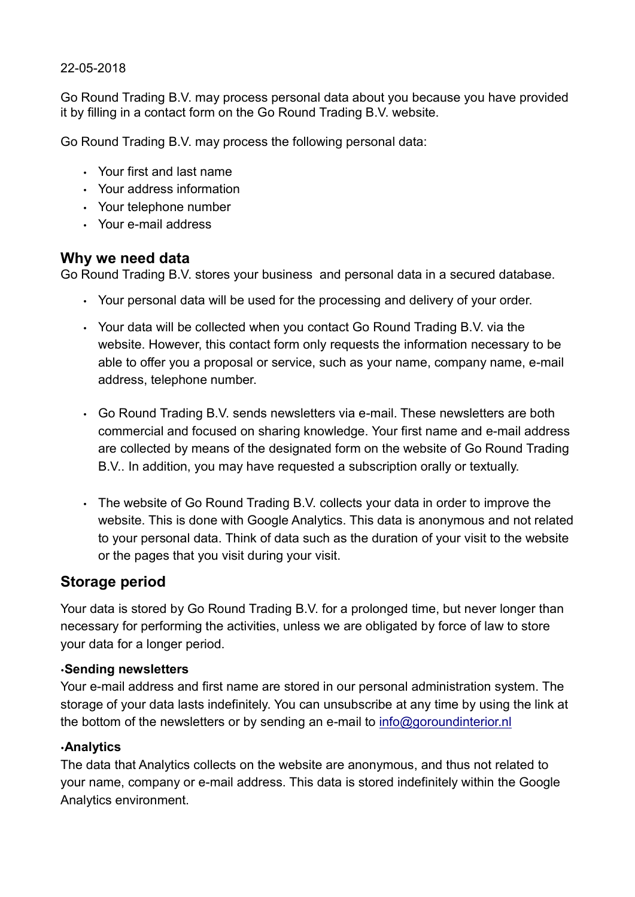#### 22-05-2018

Go Round Trading B.V. may process personal data about you because you have provided it by filling in a contact form on the Go Round Trading B.V. website.

Go Round Trading B.V. may process the following personal data:

- Your first and last name
- Your address information
- Your telephone number
- Your e-mail address

### Why we need data

Go Round Trading B.V. stores your business and personal data in a secured database.

- Your personal data will be used for the processing and delivery of your order.
- Your data will be collected when you contact Go Round Trading B.V. via the website. However, this contact form only requests the information necessary to be able to offer you a proposal or service, such as your name, company name, e-mail address, telephone number.
- Go Round Trading B.V. sends newsletters via e-mail. These newsletters are both commercial and focused on sharing knowledge. Your first name and e-mail address are collected by means of the designated form on the website of Go Round Trading B.V.. In addition, you may have requested a subscription orally or textually.
- The website of Go Round Trading B.V. collects your data in order to improve the website. This is done with Google Analytics. This data is anonymous and not related to your personal data. Think of data such as the duration of your visit to the website or the pages that you visit during your visit.

### Storage period

Your data is stored by Go Round Trading B.V. for a prolonged time, but never longer than necessary for performing the activities, unless we are obligated by force of law to store your data for a longer period.

### •Sending newsletters

Your e-mail address and first name are stored in our personal administration system. The storage of your data lasts indefinitely. You can unsubscribe at any time by using the link at the bottom of the newsletters or by sending an e-mail to info@goroundinterior.nl

### •Analytics

The data that Analytics collects on the website are anonymous, and thus not related to your name, company or e-mail address. This data is stored indefinitely within the Google Analytics environment.